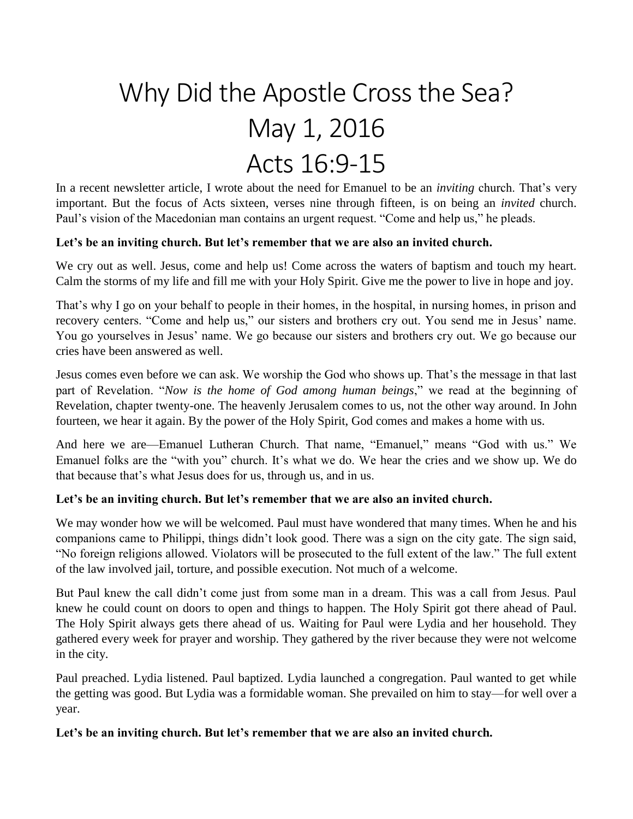# Why Did the Apostle Cross the Sea? May 1, 2016 Acts 16:9-15

In a recent newsletter article, I wrote about the need for Emanuel to be an *inviting* church. That's very important. But the focus of Acts sixteen, verses nine through fifteen, is on being an *invited* church. Paul's vision of the Macedonian man contains an urgent request. "Come and help us," he pleads.

#### **Let's be an inviting church. But let's remember that we are also an invited church.**

We cry out as well. Jesus, come and help us! Come across the waters of baptism and touch my heart. Calm the storms of my life and fill me with your Holy Spirit. Give me the power to live in hope and joy.

That's why I go on your behalf to people in their homes, in the hospital, in nursing homes, in prison and recovery centers. "Come and help us," our sisters and brothers cry out. You send me in Jesus' name. You go yourselves in Jesus' name. We go because our sisters and brothers cry out. We go because our cries have been answered as well.

Jesus comes even before we can ask. We worship the God who shows up. That's the message in that last part of Revelation. "*Now is the home of God among human beings*," we read at the beginning of Revelation, chapter twenty-one. The heavenly Jerusalem comes to us, not the other way around. In John fourteen, we hear it again. By the power of the Holy Spirit, God comes and makes a home with us.

And here we are—Emanuel Lutheran Church. That name, "Emanuel," means "God with us." We Emanuel folks are the "with you" church. It's what we do. We hear the cries and we show up. We do that because that's what Jesus does for us, through us, and in us.

## **Let's be an inviting church. But let's remember that we are also an invited church.**

We may wonder how we will be welcomed. Paul must have wondered that many times. When he and his companions came to Philippi, things didn't look good. There was a sign on the city gate. The sign said, "No foreign religions allowed. Violators will be prosecuted to the full extent of the law." The full extent of the law involved jail, torture, and possible execution. Not much of a welcome.

But Paul knew the call didn't come just from some man in a dream. This was a call from Jesus. Paul knew he could count on doors to open and things to happen. The Holy Spirit got there ahead of Paul. The Holy Spirit always gets there ahead of us. Waiting for Paul were Lydia and her household. They gathered every week for prayer and worship. They gathered by the river because they were not welcome in the city.

Paul preached. Lydia listened. Paul baptized. Lydia launched a congregation. Paul wanted to get while the getting was good. But Lydia was a formidable woman. She prevailed on him to stay—for well over a year.

#### **Let's be an inviting church. But let's remember that we are also an invited church.**